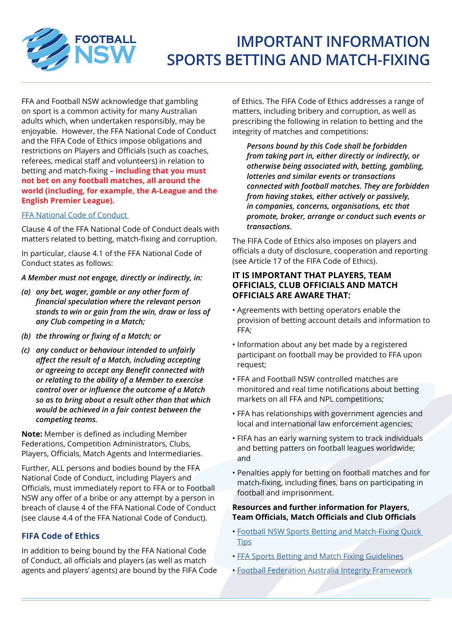

# **IMPORTANT INFORMATION SPORTS BETTING AND MATCH-FIXING**

FFA and Football NSW acknowledge that gambling on sport is a common activity for many Australian adults which, when undertaken responsibly, may be enjoyable. However, the FFA National Code of Conduct and the FIFA Code of Ethics impose obligations and restrictions on Players and Officials (such as coaches, referees, medical staff and volunteers) in relation to betting and match-fixing – **including that you must not bet on any football matches, all around the world (including, for example, the A-League and the English Premier League).**

### [FFA National Code of Conduct](https://www.ffa.com.au/sites/ffa/files/2018-01/17-0113%20-%20FFA%20CODE%20OF%20CONDUCT%20%28final%29.pdf)

Clause 4 of the FFA National Code of Conduct deals with matters related to betting, match-fixing and corruption.

In particular, clause 4.1 of the FFA National Code of Conduct states as follows:

*A Member must not engage, directly or indirectly, in:*

- *(a) any bet, wager, gamble or any other form of financial speculation where the relevant person stands to win or gain from the win, draw or loss of any Club competing in a Match;*
- *(b) the throwing or fixing of a Match; or*
- *(c) any conduct or behaviour intended to unfairly affect the result of a Match, including accepting or agreeing to accept any Benefit connected with or relating to the ability of a Member to exercise control over or influence the outcome of a Match so as to bring about a result other than that which would be achieved in a fair contest between the competing teams.*

**Note:** Member is defined as including Member Federations, Competition Administrators, Clubs, Players, Officials, Match Agents and Intermediaries.

Further, ALL persons and bodies bound by the FFA National Code of Conduct, including Players and Officials, must immediately report to FFA or to Football NSW any offer of a bribe or any attempt by a person in breach of clause 4 of the FFA National Code of Conduct (see clause 4.4 of the FFA National Code of Conduct).

## **FIFA Code of Ethics**

In addition to being bound by the FFA National Code of Conduct, all officials and players (as well as match agents and players' agents) are bound by the FIFA Code of Ethics. The FIFA Code of Ethics addresses a range of matters, including bribery and corruption, as well as prescribing the following in relation to betting and the integrity of matches and competitions:

 *Persons bound by this Code shall be forbidden from taking part in, either directly or indirectly, or otherwise being associated with, betting, gambling, lotteries and similar events or transactions connected with football matches. They are forbidden from having stakes, either actively or passively, in companies, concerns, organisations, etc that promote, broker, arrange or conduct such events or transactions.*

The FIFA Code of Ethics also imposes on players and officials a duty of disclosure, cooperation and reporting (see Article 17 of the FIFA Code of Ethics).

## **IT IS IMPORTANT THAT PLAYERS, TEAM OFFICIALS, CLUB OFFICIALS AND MATCH OFFICIALS ARE AWARE THAT:**

- Agreements with betting operators enable the provision of betting account details and information to FFA;
- Information about any bet made by a registered participant on football may be provided to FFA upon request;
- FFA and Football NSW controlled matches are monitored and real time notifications about betting markets on all FFA and NPL competitions;
- FFA has relationships with government agencies and local and international law enforcement agencies;
- FIFA has an early warning system to track individuals and betting patters on football leagues worldwide; and
- Penalties apply for betting on football matches and for match-fixing, including fines, bans on participating in football and imprisonment.

### **Resources and further information for Players, Team Officials, Match Officials and Club Officials**

- [Football NSW Sports Betting and Match-Fixing Quick](https://footballnsw.com.au/wp-content/uploads/2019/02/Sports-Betting-and-Match-Fixing-Quick-Tips.pdf)  **[Tips](https://footballnsw.com.au/wp-content/uploads/2019/02/Sports-Betting-and-Match-Fixing-Quick-Tips.pdf)**
- [FFA Sports Betting and Match Fixing Guidelines](https://www.ffa.com.au/sites/ffa/files/2017-09/FFA%20Sports%20Betting%20and%20Match%20Fixing%20Guidelines.pdf)
- • [Football Federation Australia Integrity Framework](https://www.ffa.com.au/governance/ffa-integrity-framework)